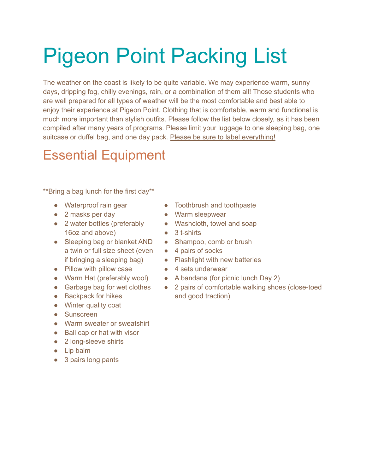## Pigeon Point Packing List

The weather on the coast is likely to be quite variable. We may experience warm, sunny days, dripping fog, chilly evenings, rain, or a combination of them all! Those students who are well prepared for all types of weather will be the most comfortable and best able to enjoy their experience at Pigeon Point. Clothing that is comfortable, warm and functional is much more important than stylish outfits. Please follow the list below closely, as it has been compiled after many years of programs. Please limit your luggage to one sleeping bag, one suitcase or duffel bag, and one day pack. Please be sure to label everything!

## Essential Equipment

\*\*Bring a bag lunch for the first day\*\*

- Waterproof rain gear
- 2 masks per day
- 2 water bottles (preferably 16oz and above)
- Sleeping bag or blanket AND a twin or full size sheet (even if bringing a sleeping bag)
- Pillow with pillow case
- Warm Hat (preferably wool)
- Garbage bag for wet clothes
- Backpack for hikes
- Winter quality coat
- Sunscreen
- Warm sweater or sweatshirt
- Ball cap or hat with visor
- 2 long-sleeve shirts
- Lip balm
- 3 pairs long pants
- Toothbrush and toothpaste
- Warm sleepwear
- Washcloth, towel and soap
- 3 t-shirts
- Shampoo, comb or brush
- 4 pairs of socks
- Flashlight with new batteries
- 4 sets underwear
- A bandana (for picnic lunch Day 2)
- 2 pairs of comfortable walking shoes (close-toed and good traction)